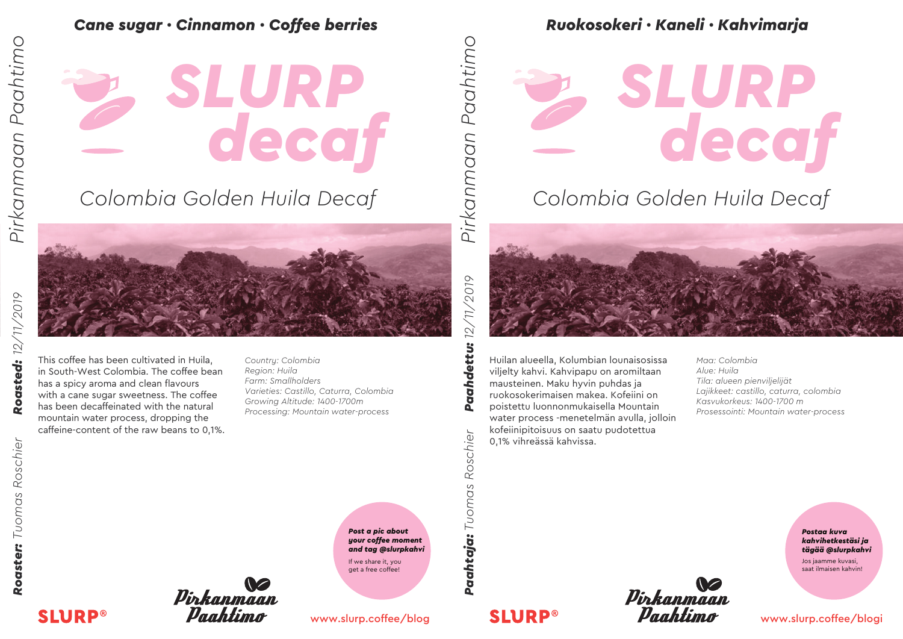Cane sugar · Cinnamon · Coffee berries<br>
Canada **· SLURP**<br>
Canada Golden Huila Decaf *decaf SLURP*

### *Colombia Golden Huila Decaf*



Roasted: 12/11/2019 *Roaster: Tuomas Roschier Roasted: 12/11/2019*

with a cane sugar sweetness. The coffee has been decaffeinated with the natural mountain water process, dropping the caffeine-content of the raw beans to 0,1%. Roaster: Tuomas Roschier

*Country: Colombia Region: Huila Farm: Smallholders Varieties: Castillo, Caturra, Colombia Growing Altitude: 1400-1700m Processing: Mountain water-process*

This coffee has been cultivated in Huila, in South-West Colombia. The coffee bean has a spicy aroma and clean flavours



*Post a pic about your coffee moment and tag @slurpkahvi* If we share it, you get a free coffee!

**Paahtaja:** Tuomas Roschier

**SLURP®** 

#### www.slurp.coffee/blog

#### *Ruokosokeri · Kaneli · Kahvimarja*

# *decaf SLURP*

#### *Colombia Golden Huila Decaf*



Huilan alueella, Kolumbian lounaisosissa viljelty kahvi. Kahvipapu on aromiltaan mausteinen. Maku hyvin puhdas ja ruokosokerimaisen makea. Kofeiini on poistettu luonnonmukaisella Mountain water process -menetelmän avulla, jolloin kofeiinipitoisuus on saatu pudotettua 0,1% vihreässä kahvissa.

*Maa: Colombia Alue: Huila Tila: alueen pienviljelijät Lajikkeet: castillo, caturra, colombia Kasvukorkeus: 1400-1700 m Prosessointi: Mountain water-process*





Jos jaamme kuvasi, saat ilmaisen kahvin!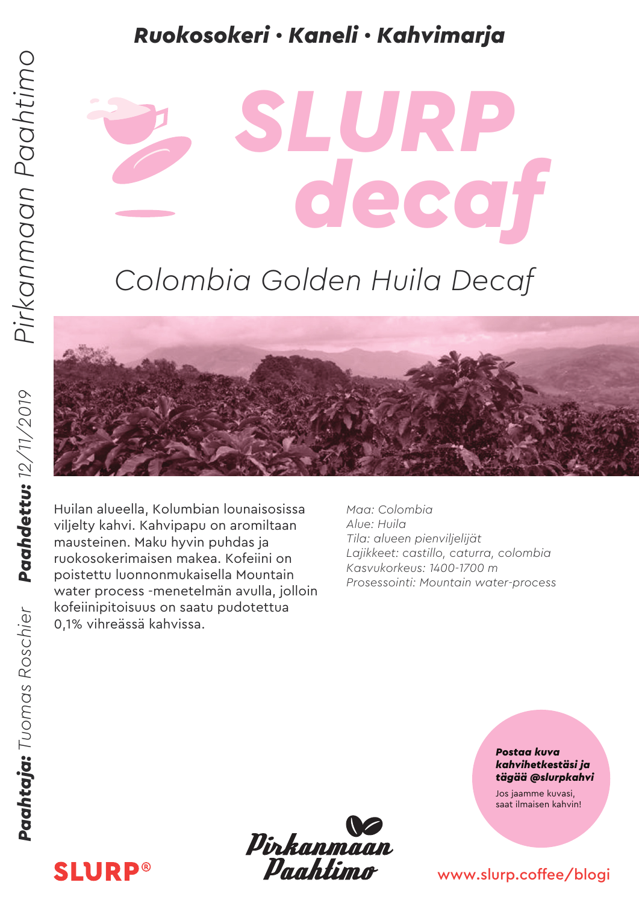#### *Ruokosokeri · Kaneli · Kahvimarja*

## *Colombia Golden Huila Decaf*

*decaf*

*SLURP*



Huilan alueella, Kolumbian lounaisosissa viljelty kahvi. Kahvipapu on aromiltaan mausteinen. Maku hyvin puhdas ja ruokosokerimaisen makea. Kofeiini on poistettu luonnonmukaisella Mountain water process -menetelmän avulla, jolloin kofeiinipitoisuus on saatu pudotettua 0,1% vihreässä kahvissa.

*Maa: Colombia Alue: Huila Tila: alueen pienviljelijät Lajikkeet: castillo, caturra, colombia Kasvukorkeus: 1400-1700 m Prosessointi: Mountain water-process*

> *Postaa kuva kahvihetkestäsi ja tägää @slurpkahvi*

Jos jaamme kuvasi, saat ilmaisen kahvin!

#### www.slurp.coffee/blogi